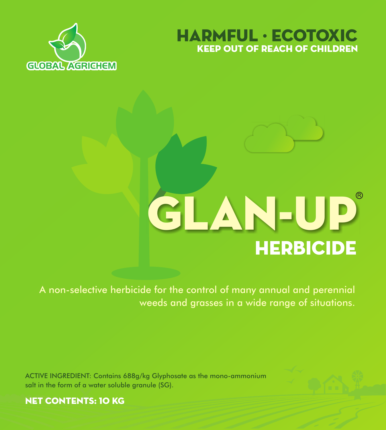



# **HERBICIDE** GLAN-UP

A non-selective herbicide for the control of many annual and perennial weeds and grasses in a wide range of situations.

ACTIVE INGREDIENT: Contains 688g/kg Glyphosate as the mono-ammonium salt in the form of a water soluble granule (SG).



NET CONTENTS: 10 KG